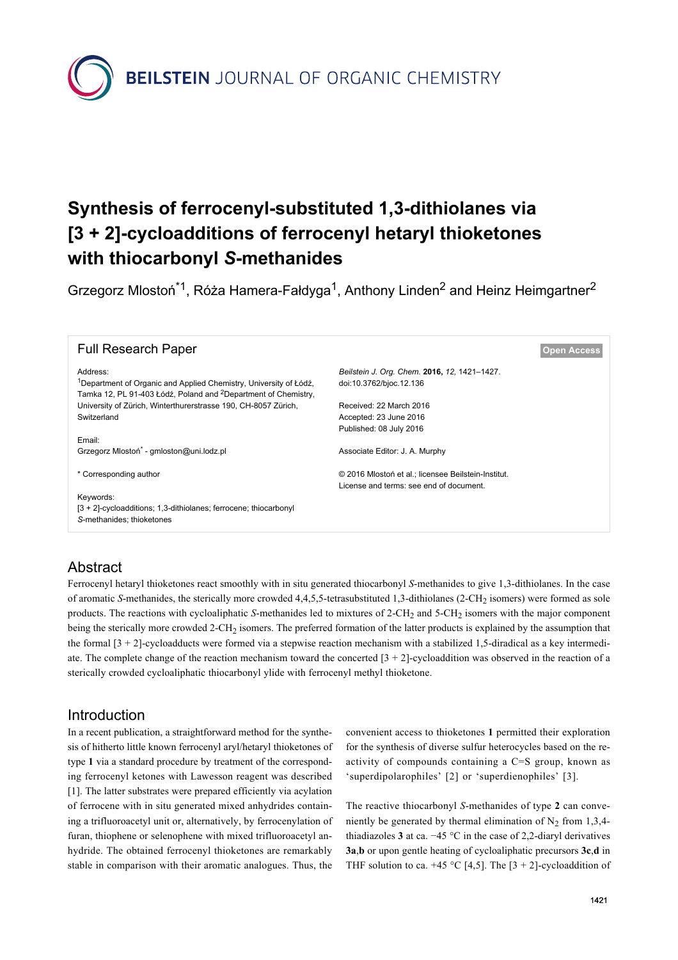**BEILSTEIN** JOURNAL OF ORGANIC CHEMISTRY

# **Synthesis of ferrocenyl-substituted 1,3-dithiolanes via [3 + 2]-cycloadditions of ferrocenyl hetaryl thioketones with thiocarbonyl** *S***-methanides**

Grzegorz Mlostoń<sup>\*1</sup>, Róża Hamera-Fałdyga<sup>1</sup>, Anthony Linden<sup>2</sup> and Heinz Heimgartner<sup>2</sup>

| <b>Full Research Paper</b>                                                                                                                                  |                                                     | <b>Open Access</b> |
|-------------------------------------------------------------------------------------------------------------------------------------------------------------|-----------------------------------------------------|--------------------|
| Address:                                                                                                                                                    | Beilstein J. Org. Chem. 2016, 12, 1421-1427.        |                    |
| <sup>1</sup> Department of Organic and Applied Chemistry, University of Łódź,<br>Tamka 12, PL 91-403 Łódź, Poland and <sup>2</sup> Department of Chemistry, | doi:10.3762/bjoc.12.136                             |                    |
| University of Zürich, Winterthurerstrasse 190, CH-8057 Zürich,                                                                                              | Received: 22 March 2016                             |                    |
| Switzerland                                                                                                                                                 | Accepted: 23 June 2016                              |                    |
|                                                                                                                                                             | Published: 08 July 2016                             |                    |
| Email:                                                                                                                                                      |                                                     |                    |
| Grzegorz Mlostoń <sup>*</sup> - gmloston@uni.lodz.pl                                                                                                        | Associate Editor: J. A. Murphy                      |                    |
| * Corresponding author                                                                                                                                      | © 2016 Mlostoń et al.; licensee Beilstein-Institut. |                    |
|                                                                                                                                                             | License and terms: see end of document.             |                    |
| Keywords:                                                                                                                                                   |                                                     |                    |
| [3 + 2]-cycloadditions; 1,3-dithiolanes; ferrocene; thiocarbonyl                                                                                            |                                                     |                    |
| S-methanides; thioketones                                                                                                                                   |                                                     |                    |
|                                                                                                                                                             |                                                     |                    |

## Abstract

Ferrocenyl hetaryl thioketones react smoothly with in situ generated thiocarbonyl *S*-methanides to give 1,3-dithiolanes. In the case of aromatic *S*-methanides, the sterically more crowded 4,4,5,5-tetrasubstituted 1,3-dithiolanes (2-CH<sub>2</sub> isomers) were formed as sole products. The reactions with cycloaliphatic *S*-methanides led to mixtures of 2-CH<sub>2</sub> and 5-CH<sub>2</sub> isomers with the major component being the sterically more crowded 2-CH<sub>2</sub> isomers. The preferred formation of the latter products is explained by the assumption that the formal  $[3 + 2]$ -cycloadducts were formed via a stepwise reaction mechanism with a stabilized 1,5-diradical as a key intermediate. The complete change of the reaction mechanism toward the concerted  $[3 + 2]$ -cycloaddition was observed in the reaction of a sterically crowded cycloaliphatic thiocarbonyl ylide with ferrocenyl methyl thioketone.

## **Introduction**

In a recent publication, a straightforward method for the synthesis of hitherto little known ferrocenyl aryl/hetaryl thioketones of type **1** via a standard procedure by treatment of the corresponding ferrocenyl ketones with Lawesson reagent was described [\[1\]](#page-5-0). The latter substrates were prepared efficiently via acylation of ferrocene with in situ generated mixed anhydrides containing a trifluoroacetyl unit or, alternatively, by ferrocenylation of furan, thiophene or selenophene with mixed trifluoroacetyl anhydride. The obtained ferrocenyl thioketones are remarkably stable in comparison with their aromatic analogues. Thus, the

convenient access to thioketones **1** permitted their exploration for the synthesis of diverse sulfur heterocycles based on the reactivity of compounds containing a C=S group, known as 'superdipolarophiles' [\[2\]](#page-6-0) or 'superdienophiles' [\[3\]](#page-6-1).

The reactive thiocarbonyl *S*-methanides of type **2** can conveniently be generated by thermal elimination of  $N_2$  from 1,3,4thiadiazoles **3** at ca. −45 °C in the case of 2,2-diaryl derivatives **3a**,**b** or upon gentle heating of cycloaliphatic precursors **3c**,**d** in THF solution to ca. +45 °C [\[4,5\]](#page-6-2). The [3 + 2]-cycloaddition of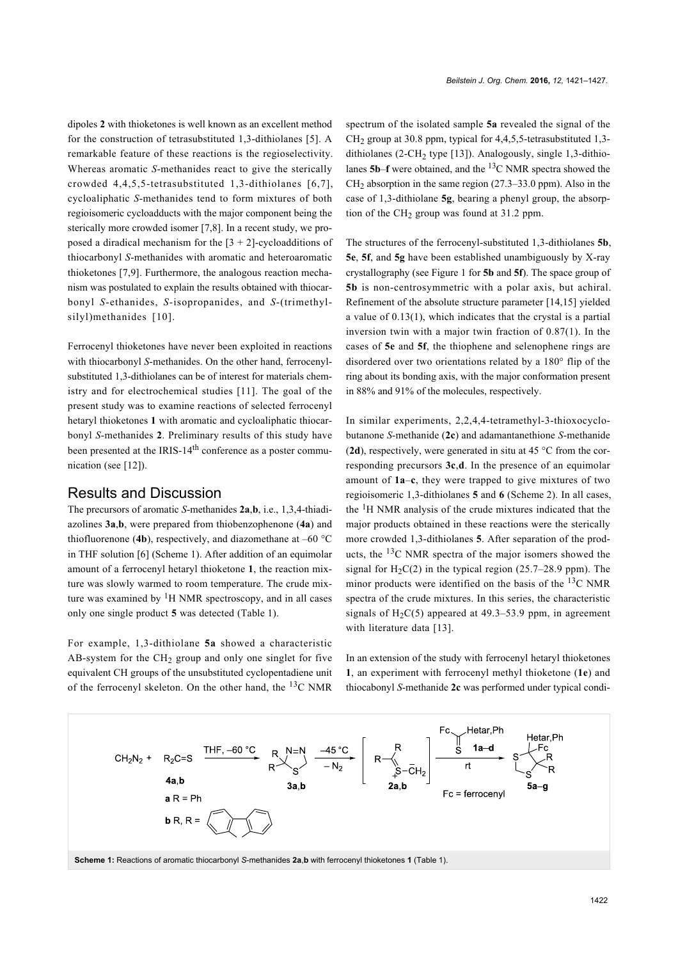dipoles **2** with thioketones is well known as an excellent method for the construction of tetrasubstituted 1,3-dithiolanes [\[5\]](#page-6-3). A remarkable feature of these reactions is the regioselectivity. Whereas aromatic *S*-methanides react to give the sterically crowded 4,4,5,5-tetrasubstituted 1,3-dithiolanes [\[6,7\]](#page-6-4), cycloaliphatic *S*-methanides tend to form mixtures of both regioisomeric cycloadducts with the major component being the sterically more crowded isomer [\[7,8\].](#page-6-5) In a recent study, we proposed a diradical mechanism for the  $[3 + 2]$ -cycloadditions of thiocarbonyl *S*-methanides with aromatic and heteroaromatic thioketones [\[7,9\]](#page-6-5). Furthermore, the analogous reaction mechanism was postulated to explain the results obtained with thiocarbonyl *S*-ethanides, *S*-isopropanides, and *S*-(trimethyl-silyl)methanides [\[10\]](#page-6-6).

Ferrocenyl thioketones have never been exploited in reactions with thiocarbonyl *S*-methanides. On the other hand, ferrocenylsubstituted 1,3-dithiolanes can be of interest for materials chemistry and for electrochemical studies [\[11\]](#page-6-7). The goal of the present study was to examine reactions of selected ferrocenyl hetaryl thioketones **1** with aromatic and cycloaliphatic thiocarbonyl *S*-methanides **2**. Preliminary results of this study have been presented at the IRIS-14<sup>th</sup> conference as a poster communication (see [\[12\]\)](#page-6-8).

## Results and Discussion

The precursors of aromatic *S*-methanides **2a**,**b**, i.e., 1,3,4-thiadiazolines **3a**,**b**, were prepared from thiobenzophenone (**4a**) and thiofluorenone (4b), respectively, and diazomethane at  $-60$  °C in THF solution [\[6\]](#page-6-4) [\(Scheme 1\)](#page-1-0). After addition of an equimolar amount of a ferrocenyl hetaryl thioketone **1**, the reaction mixture was slowly warmed to room temperature. The crude mixture was examined by  ${}^{1}H$  NMR spectroscopy, and in all cases only one single product **5** was detected [\(Table 1](#page-2-0)).

For example, 1,3-dithiolane **5a** showed a characteristic AB-system for the  $CH<sub>2</sub>$  group and only one singlet for five equivalent CH groups of the unsubstituted cyclopentadiene unit of the ferrocenyl skeleton. On the other hand, the 13C NMR

spectrum of the isolated sample **5a** revealed the signal of the  $CH<sub>2</sub>$  group at 30.8 ppm, typical for 4,4,5,5-tetrasubstituted 1,3-dithiolanes (2-CH<sub>2</sub> type [\[13\]\)](#page-6-9). Analogously, single 1,3-dithiolanes **5b**–**f** were obtained, and the 13C NMR spectra showed the  $CH<sub>2</sub>$  absorption in the same region (27.3–33.0 ppm). Also in the case of 1,3-dithiolane **5g**, bearing a phenyl group, the absorption of the  $CH<sub>2</sub>$  group was found at 31.2 ppm.

The structures of the ferrocenyl-substituted 1,3-dithiolanes **5b**, **5e**, **5f**, and **5g** have been established unambiguously by X-ray crystallography (see [Figure 1](#page-2-1) for **5b** and **5f**). The space group of **5b** is non-centrosymmetric with a polar axis, but achiral. Refinement of the absolute structure parameter [\[14,15\]](#page-6-10) yielded a value of 0.13(1), which indicates that the crystal is a partial inversion twin with a major twin fraction of 0.87(1). In the cases of **5e** and **5f**, the thiophene and selenophene rings are disordered over two orientations related by a 180° flip of the ring about its bonding axis, with the major conformation present in 88% and 91% of the molecules, respectively.

In similar experiments, 2,2,4,4-tetramethyl-3-thioxocyclobutanone *S*-methanide (**2c**) and adamantanethione *S*-methanide (**2d**), respectively, were generated in situ at 45 °C from the corresponding precursors **3c**,**d**. In the presence of an equimolar amount of **1a**–**c**, they were trapped to give mixtures of two regioisomeric 1,3-dithiolanes **5** and **6** [\(Scheme 2](#page-3-0)). In all cases, the  ${}^{1}$ H NMR analysis of the crude mixtures indicated that the major products obtained in these reactions were the sterically more crowded 1,3-dithiolanes **5**. After separation of the products, the 13C NMR spectra of the major isomers showed the signal for  $H_2C(2)$  in the typical region (25.7–28.9 ppm). The minor products were identified on the basis of the  $^{13}$ C NMR spectra of the crude mixtures. In this series, the characteristic signals of  $H_2C(5)$  appeared at 49.3–53.9 ppm, in agreement with literature data [\[13\]](#page-6-9).

In an extension of the study with ferrocenyl hetaryl thioketones **1**, an experiment with ferrocenyl methyl thioketone (**1e**) and thiocabonyl *S*-methanide **2c** was performed under typical condi-

<span id="page-1-0"></span>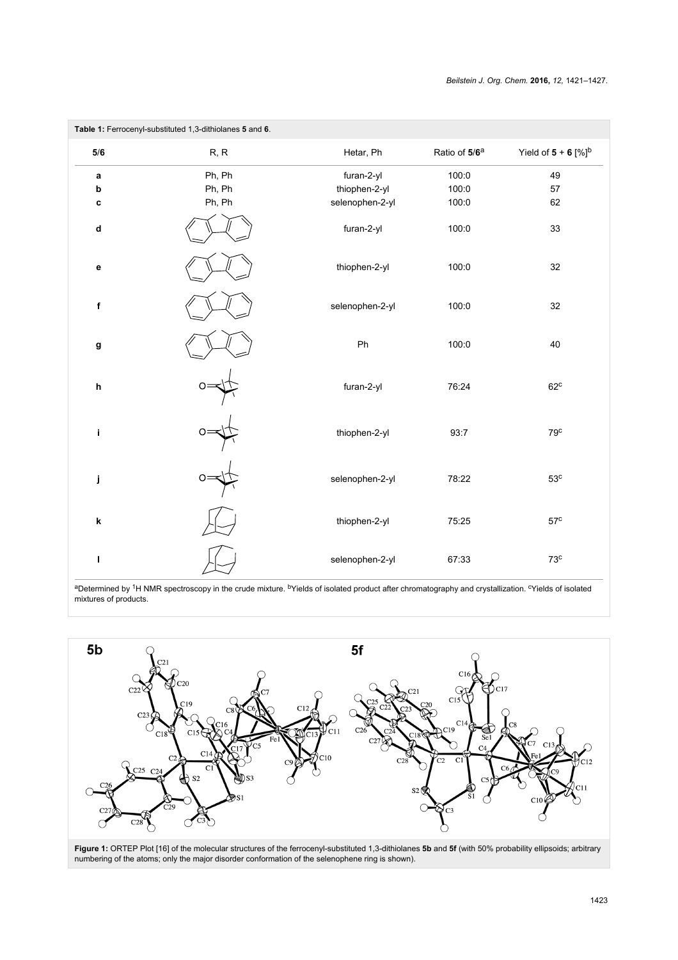<span id="page-2-0"></span>

| Table 1: Ferrocenyl-substituted 1,3-dithiolanes 5 and 6. |        |                 |                           |                                   |  |
|----------------------------------------------------------|--------|-----------------|---------------------------|-----------------------------------|--|
| $5/6$                                                    | R, R   | Hetar, Ph       | Ratio of 5/6 <sup>a</sup> | Yield of $5 + 6$ [%] <sup>b</sup> |  |
| a                                                        | Ph, Ph | furan-2-yl      | 100:0                     | 49                                |  |
| $\boldsymbol{\mathsf{b}}$                                | Ph, Ph | thiophen-2-yl   | 100:0                     | 57                                |  |
| С                                                        | Ph, Ph | selenophen-2-yl | 100:0                     | 62                                |  |
| $\operatorname{\mathsf{d}}$                              |        | furan-2-yl      | 100:0                     | 33                                |  |
| $\mathbf{e}$                                             |        | thiophen-2-yl   | 100:0                     | 32                                |  |
| f                                                        |        | selenophen-2-yl | 100:0                     | 32                                |  |
| g                                                        |        | Ph              | 100:0                     | 40                                |  |
| $\mathsf h$                                              |        | furan-2-yl      | 76:24                     | 62 <sup>c</sup>                   |  |
| i                                                        |        | thiophen-2-yl   | 93:7                      | 79 <sup>c</sup>                   |  |
| j                                                        |        | selenophen-2-yl | 78:22                     | 53 <sup>c</sup>                   |  |
| k                                                        |        | thiophen-2-yl   | 75:25                     | 57 <sup>c</sup>                   |  |
| L                                                        |        | selenophen-2-yl | 67:33                     | 73 <sup>c</sup>                   |  |

aDetermined by <sup>1</sup>H NMR spectroscopy in the crude mixture. <sup>b</sup>Yields of isolated product after chromatography and crystallization. <sup>c</sup>Yields of isolated mixtures of products.

<span id="page-2-1"></span>

**Figure 1:** ORTEP Plot [\[16\]](#page-6-11) of the molecular structures of the ferrocenyl-substituted 1,3-dithiolanes **5b** and **5f** (with 50% probability ellipsoids; arbitrary numbering of the atoms; only the major disorder conformation of the selenophene ring is shown).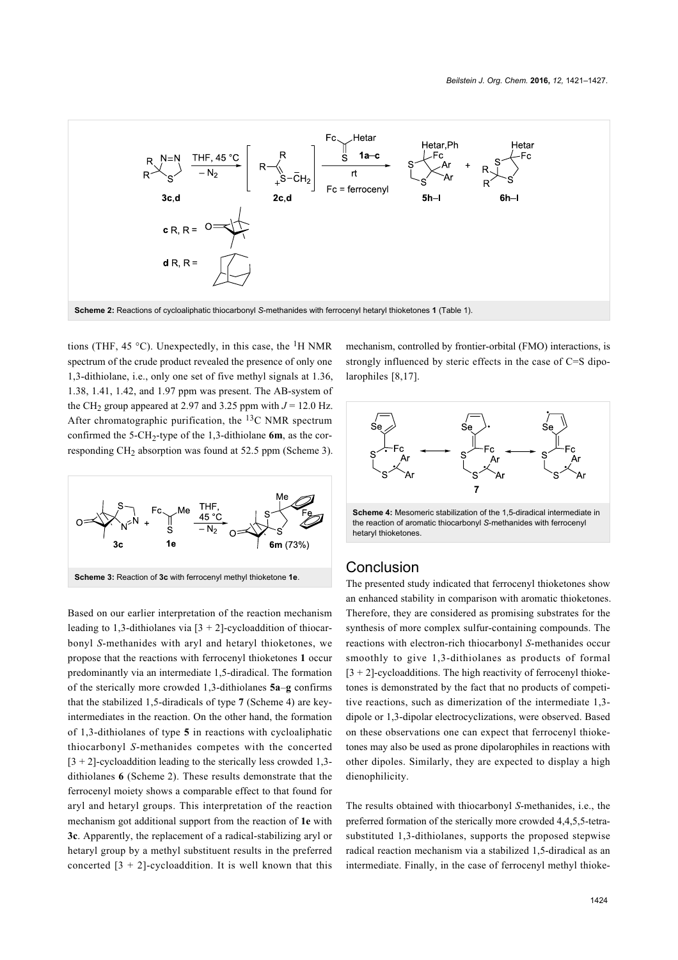<span id="page-3-0"></span>

tions (THF, 45 °C). Unexpectedly, in this case, the  ${}^{1}H$  NMR spectrum of the crude product revealed the presence of only one 1,3-dithiolane, i.e., only one set of five methyl signals at 1.36, 1.38, 1.41, 1.42, and 1.97 ppm was present. The AB-system of the CH<sub>2</sub> group appeared at 2.97 and 3.25 ppm with  $J = 12.0$  Hz. After chromatographic purification, the 13C NMR spectrum confirmed the  $5$ -CH<sub>2</sub>-type of the 1,3-dithiolane **6m**, as the corresponding CH2 absorption was found at 52.5 ppm [\(Scheme 3](#page-3-1)).

<span id="page-3-1"></span>

Based on our earlier interpretation of the reaction mechanism leading to 1,3-dithiolanes via  $[3 + 2]$ -cycloaddition of thiocarbonyl *S*-methanides with aryl and hetaryl thioketones, we propose that the reactions with ferrocenyl thioketones **1** occur predominantly via an intermediate 1,5-diradical. The formation of the sterically more crowded 1,3-dithiolanes **5a**–**g** confirms that the stabilized 1,5-diradicals of type **7** ([Scheme 4\)](#page-3-2) are keyintermediates in the reaction. On the other hand, the formation of 1,3-dithiolanes of type **5** in reactions with cycloaliphatic thiocarbonyl *S*-methanides competes with the concerted  $[3 + 2]$ -cycloaddition leading to the sterically less crowded 1,3dithiolanes **6** ([Scheme 2\)](#page-3-0). These results demonstrate that the ferrocenyl moiety shows a comparable effect to that found for aryl and hetaryl groups. This interpretation of the reaction mechanism got additional support from the reaction of **1e** with **3c**. Apparently, the replacement of a radical-stabilizing aryl or hetaryl group by a methyl substituent results in the preferred concerted  $[3 + 2]$ -cycloaddition. It is well known that this

mechanism, controlled by frontier-orbital (FMO) interactions, is strongly influenced by steric effects in the case of C=S dipolarophiles [\[8,17\]](#page-6-12).

<span id="page-3-2"></span>

**Scheme 4:** Mesomeric stabilization of the 1,5-diradical intermediate in the reaction of aromatic thiocarbonyl *S*-methanides with ferrocenyl hetaryl thioketones.

#### **Conclusion**

The presented study indicated that ferrocenyl thioketones show an enhanced stability in comparison with aromatic thioketones. Therefore, they are considered as promising substrates for the synthesis of more complex sulfur-containing compounds. The reactions with electron-rich thiocarbonyl *S*-methanides occur smoothly to give 1,3-dithiolanes as products of formal  $[3 + 2]$ -cycloadditions. The high reactivity of ferrocenyl thioketones is demonstrated by the fact that no products of competitive reactions, such as dimerization of the intermediate 1,3 dipole or 1,3-dipolar electrocyclizations, were observed. Based on these observations one can expect that ferrocenyl thioketones may also be used as prone dipolarophiles in reactions with other dipoles. Similarly, they are expected to display a high dienophilicity.

The results obtained with thiocarbonyl *S*-methanides, i.e., the preferred formation of the sterically more crowded 4,4,5,5-tetrasubstituted 1,3-dithiolanes, supports the proposed stepwise radical reaction mechanism via a stabilized 1,5-diradical as an intermediate. Finally, in the case of ferrocenyl methyl thioke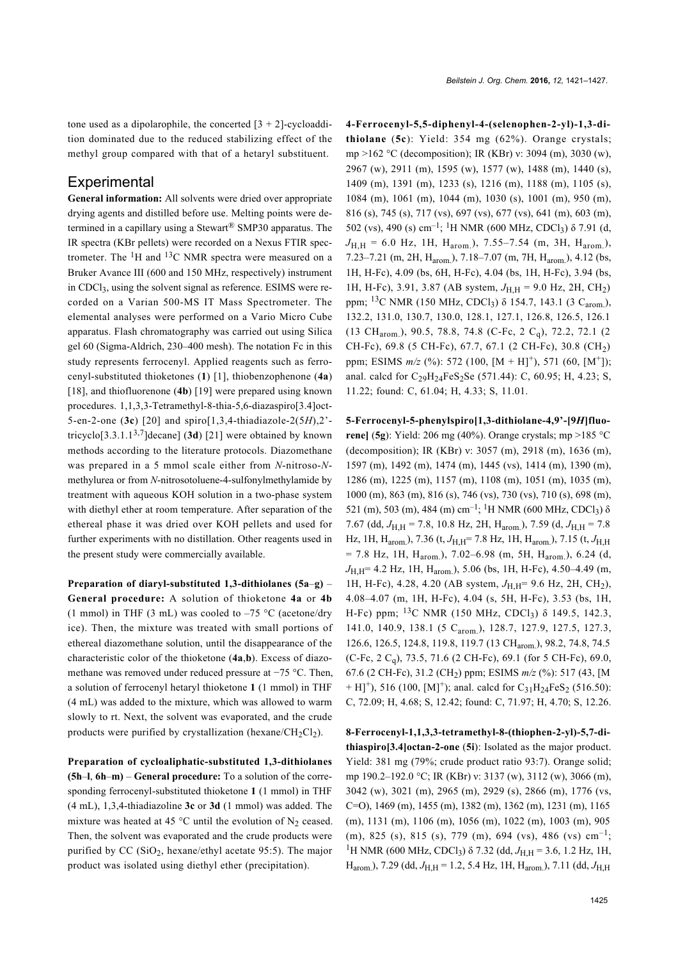tone used as a dipolarophile, the concerted  $[3 + 2]$ -cycloaddition dominated due to the reduced stabilizing effect of the methyl group compared with that of a hetaryl substituent.

#### **Experimental**

**General information:** All solvents were dried over appropriate drying agents and distilled before use. Melting points were determined in a capillary using a Stewart<sup>®</sup> SMP30 apparatus. The IR spectra (KBr pellets) were recorded on a Nexus FTIR spectrometer. The  ${}^{1}$ H and  ${}^{13}$ C NMR spectra were measured on a Bruker Avance III (600 and 150 MHz, respectively) instrument in CDCl3, using the solvent signal as reference. ESIMS were recorded on a Varian 500-MS IT Mass Spectrometer. The elemental analyses were performed on a Vario Micro Cube apparatus. Flash chromatography was carried out using Silica gel 60 (Sigma-Aldrich, 230–400 mesh). The notation Fc in this study represents ferrocenyl. Applied reagents such as ferrocenyl-substituted thioketones (**1**) [\[1\]](#page-5-0), thiobenzophenone (**4a**) [\[18\],](#page-6-13) and thiofluorenone (4b) [\[19\]](#page-6-14) were prepared using known procedures. 1,1,3,3-Tetramethyl-8-thia-5,6-diazaspiro[3.4]oct-5-en-2-one (**3c**) [\[20\]](#page-6-15) and spiro[1,3,4-thiadiazole-2(5*H*),2' tricyclo[3.3.1.13,7]decane] (**3d**) [\[21\]](#page-6-16) were obtained by known methods according to the literature protocols. Diazomethane was prepared in a 5 mmol scale either from *N*-nitroso-*N*methylurea or from *N*-nitrosotoluene-4-sulfonylmethylamide by treatment with aqueous KOH solution in a two-phase system with diethyl ether at room temperature. After separation of the ethereal phase it was dried over KOH pellets and used for further experiments with no distillation. Other reagents used in the present study were commercially available.

**Preparation of diaryl-substituted 1,3-dithiolanes (5a**–**g)** – **General procedure:** A solution of thioketone **4a** or **4b** (1 mmol) in THF (3 mL) was cooled to  $-75$  °C (acetone/dry ice). Then, the mixture was treated with small portions of ethereal diazomethane solution, until the disappearance of the characteristic color of the thioketone (**4a**,**b**). Excess of diazomethane was removed under reduced pressure at −75 °C. Then, a solution of ferrocenyl hetaryl thioketone **1** (1 mmol) in THF (4 mL) was added to the mixture, which was allowed to warm slowly to rt. Next, the solvent was evaporated, and the crude products were purified by crystallization (hexane/ $CH_2Cl_2$ ).

**Preparation of cycloaliphatic-substituted 1,3-dithiolanes (5h**–**l**, **6h**–**m)** – **General procedure:** To a solution of the corresponding ferrocenyl-substituted thioketone **1** (1 mmol) in THF (4 mL), 1,3,4-thiadiazoline **3c** or **3d** (1 mmol) was added. The mixture was heated at 45  $^{\circ}$ C until the evolution of N<sub>2</sub> ceased. Then, the solvent was evaporated and the crude products were purified by CC  $(SiO<sub>2</sub>, hexane/ethyl acetate 95:5)$ . The major product was isolated using diethyl ether (precipitation).

**4-Ferrocenyl-5,5-diphenyl-4-(selenophen-2-yl)-1,3-dithiolane** (**5c**): Yield: 354 mg (62%). Orange crystals; mp >162 °C (decomposition); IR (KBr) ν: 3094 (m), 3030 (w), 2967 (w), 2911 (m), 1595 (w), 1577 (w), 1488 (m), 1440 (s), 1409 (m), 1391 (m), 1233 (s), 1216 (m), 1188 (m), 1105 (s), 1084 (m), 1061 (m), 1044 (m), 1030 (s), 1001 (m), 950 (m), 816 (s), 745 (s), 717 (vs), 697 (vs), 677 (vs), 641 (m), 603 (m), 502 (vs), 490 (s) cm<sup>-1</sup>; <sup>1</sup>H NMR (600 MHz, CDCl<sub>3</sub>)  $\delta$  7.91 (d,  $J_{\text{H.H}}$  = 6.0 Hz, 1H, H<sub>arom.</sub>), 7.55–7.54 (m, 3H, H<sub>arom.</sub>), 7.23–7.21 (m, 2H, H<sub>arom</sub>), 7.18–7.07 (m, 7H, H<sub>arom</sub>), 4.12 (bs, 1H, H-Fc), 4.09 (bs, 6H, H-Fc), 4.04 (bs, 1H, H-Fc), 3.94 (bs, 1H, H-Fc), 3.91, 3.87 (AB system,  $J_{H,H}$  = 9.0 Hz, 2H, CH<sub>2</sub>) ppm; <sup>13</sup>C NMR (150 MHz, CDCl<sub>3</sub>)  $\delta$  154.7, 143.1 (3 C<sub>arom</sub>), 132.2, 131.0, 130.7, 130.0, 128.1, 127.1, 126.8, 126.5, 126.1 (13 CHarom.), 90.5, 78.8, 74.8 (C-Fc, 2 Cq), 72.2, 72.1 (2 CH-Fc), 69.8 (5 CH-Fc), 67.7, 67.1 (2 CH-Fc), 30.8 (CH2) ppm; ESIMS  $m/z$  (%): 572 (100, [M + H]<sup>+</sup>), 571 (60, [M<sup>+</sup>]); anal. calcd for  $C_{29}H_{24}FeS_{2}Se$  (571.44): C, 60.95; H, 4.23; S, 11.22; found: C, 61.04; H, 4.33; S, 11.01.

**5-Ferrocenyl-5-phenylspiro[1,3-dithiolane-4,9'-[9***H***]fluorene]** (**5g**): Yield: 206 mg (40%). Orange crystals; mp >185 °C (decomposition); IR (KBr) ν: 3057 (m), 2918 (m), 1636 (m), 1597 (m), 1492 (m), 1474 (m), 1445 (vs), 1414 (m), 1390 (m), 1286 (m), 1225 (m), 1157 (m), 1108 (m), 1051 (m), 1035 (m), 1000 (m), 863 (m), 816 (s), 746 (vs), 730 (vs), 710 (s), 698 (m), 521 (m), 503 (m), 484 (m) cm–1; 1H NMR (600 MHz, CDCl3) δ 7.67 (dd, *J*H,H = 7.8, 10.8 Hz, 2H, Harom.), 7.59 (d, *J*H,H = 7.8 Hz, 1H, H<sub>arom.</sub>), 7.36 (t,  $J_{H,H}$ = 7.8 Hz, 1H, H<sub>arom.</sub>), 7.15 (t,  $J_{H,H}$  $= 7.8$  Hz, 1H, H<sub>arom.</sub>), 7.02–6.98 (m, 5H, H<sub>arom.</sub>), 6.24 (d, *J*H,H= 4.2 Hz, 1H, Harom.), 5.06 (bs, 1H, H-Fc), 4.50–4.49 (m, 1H, H-Fc), 4.28, 4.20 (AB system,  $J_{H,H}$ = 9.6 Hz, 2H, CH<sub>2</sub>), 4.08–4.07 (m, 1H, H-Fc), 4.04 (s, 5H, H-Fc), 3.53 (bs, 1H, H-Fc) ppm;  $^{13}$ C NMR (150 MHz, CDCl<sub>3</sub>)  $\delta$  149.5, 142.3, 141.0, 140.9, 138.1 (5 C<sub>arom.</sub>), 128.7, 127.9, 127.5, 127.3, 126.6, 126.5, 124.8, 119.8, 119.7 (13 CH<sub>arom.</sub>), 98.2, 74.8, 74.5 (C-Fc, 2 C<sub>a</sub>), 73.5, 71.6 (2 CH-Fc), 69.1 (for 5 CH-Fc), 69.0, 67.6 (2 CH-Fc), 31.2 (CH<sup>2</sup> ) ppm; ESIMS *m/z* (%): 517 (43, [M + H]<sup>+</sup>), 516 (100, [M]<sup>+</sup>); anal. calcd for  $C_{31}H_{24}FeS_2$  (516.50): C, 72.09; H, 4.68; S, 12.42; found: C, 71.97; H, 4.70; S, 12.26.

**8-Ferrocenyl-1,1,3,3-tetramethyl-8-(thiophen-2-yl)-5,7-dithiaspiro[3.4]octan-2-one** (**5i**): Isolated as the major product. Yield: 381 mg (79%; crude product ratio 93:7). Orange solid; mp 190.2–192.0 °C; IR (KBr) ν: 3137 (w), 3112 (w), 3066 (m), 3042 (w), 3021 (m), 2965 (m), 2929 (s), 2866 (m), 1776 (vs, C=O), 1469 (m), 1455 (m), 1382 (m), 1362 (m), 1231 (m), 1165 (m), 1131 (m), 1106 (m), 1056 (m), 1022 (m), 1003 (m), 905 (m), 825 (s), 815 (s), 779 (m), 694 (vs), 486 (vs)  $cm^{-1}$ ; <sup>1</sup>H NMR (600 MHz, CDCl<sub>3</sub>) δ 7.32 (dd, *J*<sub>H,H</sub> = 3.6, 1.2 Hz, 1H, Harom.), 7.29 (dd, *J*H,H = 1.2, 5.4 Hz, 1H, Harom.), 7.11 (dd, *J*H,H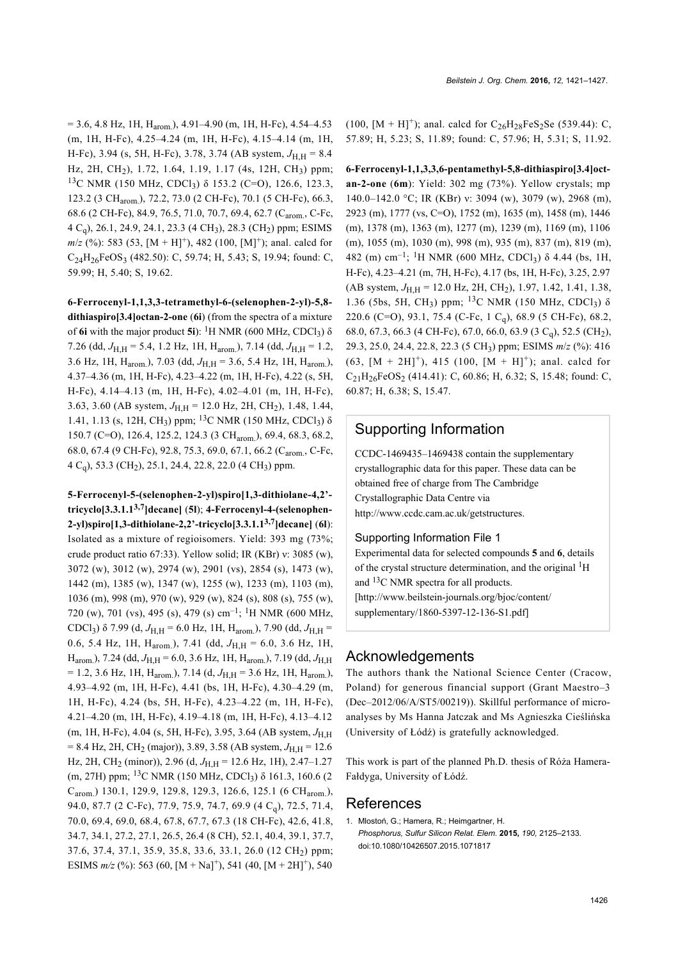$= 3.6, 4.8$  Hz, 1H, H<sub>arom</sub>), 4.91–4.90 (m, 1H, H-Fc), 4.54–4.53 (m, 1H, H-Fc), 4.25–4.24 (m, 1H, H-Fc), 4.15–4.14 (m, 1H, H-Fc), 3.94 (s, 5H, H-Fc), 3.78, 3.74 (AB system,  $J_{\text{H H}} = 8.4$ Hz, 2H, CH<sub>2</sub>), 1.72, 1.64, 1.19, 1.17 (4s, 12H, CH<sub>3</sub>) ppm; <sup>13</sup>C NMR (150 MHz, CDCl<sub>3</sub>) δ 153.2 (C=O), 126.6, 123.3, 123.2 (3 CH<sub>arom</sub>), 72.2, 73.0 (2 CH-Fc), 70.1 (5 CH-Fc), 66.3, 68.6 (2 CH-Fc), 84.9, 76.5, 71.0, 70.7, 69.4, 62.7 (C<sub>arom.</sub>, C-Fc, 4 Cq), 26.1, 24.9, 24.1, 23.3 (4 CH3), 28.3 (CH2) ppm; ESIMS  $m/z$  (%): 583 (53, [M + H]<sup>+</sup>), 482 (100, [M]<sup>+</sup>); anal. calcd for  $C_{24}H_{26}FeOS_3$  (482.50): C, 59.74; H, 5.43; S, 19.94; found: C, 59.99; H, 5.40; S, 19.62.

**6-Ferrocenyl-1,1,3,3-tetramethyl-6-(selenophen-2-yl)-5,8 dithiaspiro[3.4]octan-2-one** (**6i**) (from the spectra of a mixture of **6i** with the major product **5i**): <sup>1</sup>H NMR (600 MHz, CDCl<sub>3</sub>) δ 7.26 (dd,  $J_{\text{H H}}$  = 5.4, 1.2 Hz, 1H, H<sub>arom</sub>), 7.14 (dd,  $J_{\text{H H}}$  = 1.2, 3.6 Hz, 1H, H<sub>arom</sub>), 7.03 (dd,  $J_{\text{H H}}$  = 3.6, 5.4 Hz, 1H, H<sub>arom</sub>), 4.37–4.36 (m, 1H, H-Fc), 4.23–4.22 (m, 1H, H-Fc), 4.22 (s, 5H, H-Fc), 4.14–4.13 (m, 1H, H-Fc), 4.02–4.01 (m, 1H, H-Fc), 3.63, 3.60 (AB system,  $J_{\text{H H}}$  = 12.0 Hz, 2H, CH<sub>2</sub>), 1.48, 1.44, 1.41, 1.13 (s, 12H, CH<sub>3</sub>) ppm; <sup>13</sup>C NMR (150 MHz, CDCl<sub>3</sub>)  $\delta$ 150.7 (C=O), 126.4, 125.2, 124.3 (3 CH<sub>arom</sub>), 69.4, 68.3, 68.2, 68.0, 67.4 (9 CH-Fc), 92.8, 75.3, 69.0, 67.1, 66.2 (C<sub>arom</sub>, C-Fc, 4 Cq), 53.3 (CH2), 25.1, 24.4, 22.8, 22.0 (4 CH3) ppm.

**5-Ferrocenyl-5-(selenophen-2-yl)spiro[1,3-dithiolane-4,2' tricyclo[3.3.1.13,7]decane]** (**5l**); **4-Ferrocenyl-4-(selenophen-2-yl)spiro[1,3-dithiolane-2,2'-tricyclo[3.3.1.13,7]decane]** (**6l**): Isolated as a mixture of regioisomers. Yield: 393 mg (73%; crude product ratio 67:33). Yellow solid; IR (KBr) ν: 3085 (w), 3072 (w), 3012 (w), 2974 (w), 2901 (vs), 2854 (s), 1473 (w), 1442 (m), 1385 (w), 1347 (w), 1255 (w), 1233 (m), 1103 (m), 1036 (m), 998 (m), 970 (w), 929 (w), 824 (s), 808 (s), 755 (w), 720 (w), 701 (vs), 495 (s), 479 (s) cm<sup>-1</sup>; <sup>1</sup>H NMR (600 MHz, CDCl<sub>3</sub>) δ 7.99 (d,  $J_{H,H}$  = 6.0 Hz, 1H, H<sub>arom.</sub>), 7.90 (dd,  $J_{H,H}$  = 0.6, 5.4 Hz, 1H, H<sub>arom.</sub>), 7.41 (dd,  $J_{H,H} = 6.0$ , 3.6 Hz, 1H, H<sub>arom.</sub>), 7.24 (dd,  $J_{\text{H.H}}$  = 6.0, 3.6 Hz, 1H, H<sub>arom.</sub>), 7.19 (dd,  $J_{\text{H.H}}$  $= 1.2, 3.6$  Hz, 1H, H<sub>arom.</sub>), 7.14 (d,  $J_{\text{H,H}} = 3.6$  Hz, 1H, H<sub>arom.</sub>), 4.93–4.92 (m, 1H, H-Fc), 4.41 (bs, 1H, H-Fc), 4.30–4.29 (m, 1H, H-Fc), 4.24 (bs, 5H, H-Fc), 4.23–4.22 (m, 1H, H-Fc), 4.21–4.20 (m, 1H, H-Fc), 4.19–4.18 (m, 1H, H-Fc), 4.13–4.12  $(m, 1H, H-Fe)$ , 4.04 (s, 5H, H-Fc), 3.95, 3.64 (AB system,  $J<sub>H H</sub>$ = 8.4 Hz, 2H, CH<sub>2</sub> (major)), 3.89, 3.58 (AB system,  $J_{\text{H,H}}$  = 12.6 Hz, 2H, CH<sub>2</sub> (minor)), 2.96 (d, *J*<sub>H,H</sub> = 12.6 Hz, 1H), 2.47–1.27 (m, 27H) ppm; <sup>13</sup>C NMR (150 MHz, CDCl<sub>3</sub>) δ 161.3, 160.6 (2 C<sub>arom.</sub>) 130.1, 129.9, 129.8, 129.3, 126.6, 125.1 (6 CH<sub>arom.</sub>), 94.0, 87.7 (2 C-Fc), 77.9, 75.9, 74.7, 69.9 (4 C<sub>q</sub>), 72.5, 71.4, 70.0, 69.4, 69.0, 68.4, 67.8, 67.7, 67.3 (18 CH-Fc), 42.6, 41.8, 34.7, 34.1, 27.2, 27.1, 26.5, 26.4 (8 CH), 52.1, 40.4, 39.1, 37.7, 37.6, 37.4, 37.1, 35.9, 35.8, 33.6, 33.1, 26.0 (12 CH<sup>2</sup> ) ppm; ESIMS  $m/z$  (%): 563 (60, [M + Na]<sup>+</sup>), 541 (40, [M + 2H]<sup>+</sup>), 540

(100,  $[M + H]^+$ ); anal. calcd for  $C_{26}H_{28}FeS_2Se$  (539.44): C, 57.89; H, 5.23; S, 11.89; found: C, 57.96; H, 5.31; S, 11.92.

**6-Ferrocenyl-1,1,3,3,6-pentamethyl-5,8-dithiaspiro[3.4]octan-2-one** (**6m**): Yield: 302 mg (73%). Yellow crystals; mp 140.0–142.0 °C; IR (KBr) ν: 3094 (w), 3079 (w), 2968 (m), 2923 (m), 1777 (vs, C=O), 1752 (m), 1635 (m), 1458 (m), 1446 (m), 1378 (m), 1363 (m), 1277 (m), 1239 (m), 1169 (m), 1106 (m), 1055 (m), 1030 (m), 998 (m), 935 (m), 837 (m), 819 (m), 482 (m) cm<sup>-1</sup>; <sup>1</sup>H NMR (600 MHz, CDCl<sub>3</sub>)  $\delta$  4.44 (bs, 1H, H-Fc), 4.23–4.21 (m, 7H, H-Fc), 4.17 (bs, 1H, H-Fc), 3.25, 2.97 (AB system,  $J_{\text{H H}}$  = 12.0 Hz, 2H, CH<sub>2</sub>), 1.97, 1.42, 1.41, 1.38, 1.36 (5bs, 5H, CH<sub>3</sub>) ppm; <sup>13</sup>C NMR (150 MHz, CDCl<sub>3</sub>) δ 220.6 (C=O), 93.1, 75.4 (C-Fc, 1 Cq), 68.9 (5 CH-Fc), 68.2, 68.0, 67.3, 66.3 (4 CH-Fc), 67.0, 66.0, 63.9 (3 Cq), 52.5 (CH2), 29.3, 25.0, 24.4, 22.8, 22.3 (5 CH3) ppm; ESIMS *m*/*z* (%): 416  $(63, [M + 2H]^+)$ , 415 (100,  $[M + H]^+$ ); anal. calcd for  $C_{21}H_{26}FeOS_2$  (414.41): C, 60.86; H, 6.32; S, 15.48; found: C, 60.87; H, 6.38; S, 15.47.

#### Supporting Information

CCDC-1469435–1469438 contain the supplementary crystallographic data for this paper. These data can be obtained free of charge from The Cambridge Crystallographic Data Centre via <http://www.ccdc.cam.ac.uk/getstructures>.

#### Supporting Information File 1

Experimental data for selected compounds **5** and **6**, details of the crystal structure determination, and the original <sup>1</sup>H and 13C NMR spectra for all products. [\[http://www.beilstein-journals.org/bjoc/content/](http://www.beilstein-journals.org/bjoc/content/supplementary/1860-5397-12-136-S1.pdf) [supplementary/1860-5397-12-136-S1.pdf\]](http://www.beilstein-journals.org/bjoc/content/supplementary/1860-5397-12-136-S1.pdf)

#### Acknowledgements

The authors thank the National Science Center (Cracow, Poland) for generous financial support (Grant Maestro–3 (Dec–2012/06/A/ST5/00219)). Skillful performance of microanalyses by Ms Hanna Jatczak and Ms Agnieszka Cieślińska (University of Łódź) is gratefully acknowledged.

This work is part of the planned Ph.D. thesis of Róża Hamera-Fałdyga, University of Łódź.

#### References

<span id="page-5-0"></span>1. Mlostoń, G.; Hamera, R.; Heimgartner, H. *Phosphorus, Sulfur Silicon Relat. Elem.* **2015,** *190,* 2125–2133. [doi:10.1080/10426507.2015.1071817](http://dx.doi.org/10.1080%2F10426507.2015.1071817)